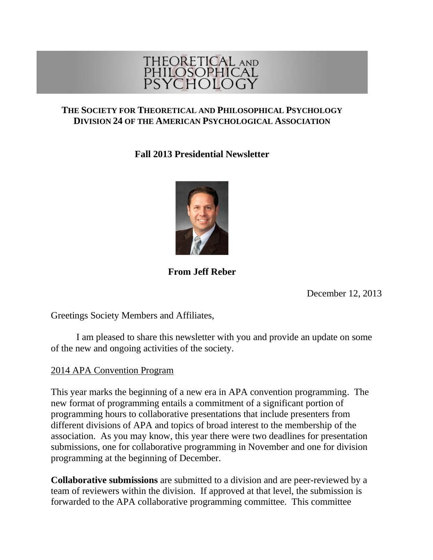

#### **THE SOCIETY FOR THEORETICAL AND PHILOSOPHICAL PSYCHOLOGY DIVISION 24 OF THE AMERICAN PSYCHOLOGICAL ASSOCIATION**

# **Fall 2013 Presidential Newsletter**



# **From Jeff Reber**

December 12, 2013

Greetings Society Members and Affiliates,

I am pleased to share this newsletter with you and provide an update on some of the new and ongoing activities of the society.

## 2014 APA Convention Program

This year marks the beginning of a new era in APA convention programming. The new format of programming entails a commitment of a significant portion of programming hours to collaborative presentations that include presenters from different divisions of APA and topics of broad interest to the membership of the association. As you may know, this year there were two deadlines for presentation submissions, one for collaborative programming in November and one for division programming at the beginning of December.

**Collaborative submissions** are submitted to a division and are peer-reviewed by a team of reviewers within the division. If approved at that level, the submission is forwarded to the APA collaborative programming committee. This committee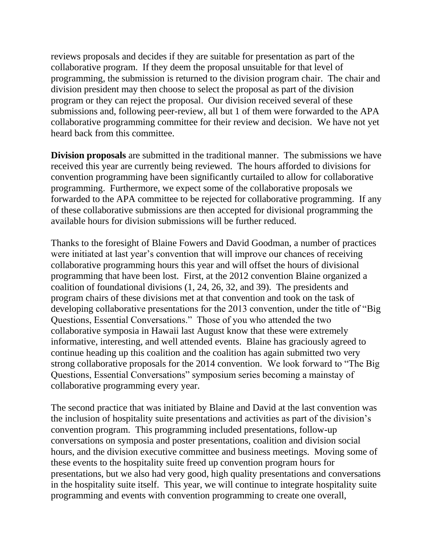reviews proposals and decides if they are suitable for presentation as part of the collaborative program. If they deem the proposal unsuitable for that level of programming, the submission is returned to the division program chair. The chair and division president may then choose to select the proposal as part of the division program or they can reject the proposal. Our division received several of these submissions and, following peer-review, all but 1 of them were forwarded to the APA collaborative programming committee for their review and decision. We have not yet heard back from this committee.

**Division proposals** are submitted in the traditional manner. The submissions we have received this year are currently being reviewed. The hours afforded to divisions for convention programming have been significantly curtailed to allow for collaborative programming. Furthermore, we expect some of the collaborative proposals we forwarded to the APA committee to be rejected for collaborative programming. If any of these collaborative submissions are then accepted for divisional programming the available hours for division submissions will be further reduced.

Thanks to the foresight of Blaine Fowers and David Goodman, a number of practices were initiated at last year's convention that will improve our chances of receiving collaborative programming hours this year and will offset the hours of divisional programming that have been lost. First, at the 2012 convention Blaine organized a coalition of foundational divisions (1, 24, 26, 32, and 39). The presidents and program chairs of these divisions met at that convention and took on the task of developing collaborative presentations for the 2013 convention, under the title of "Big Questions, Essential Conversations." Those of you who attended the two collaborative symposia in Hawaii last August know that these were extremely informative, interesting, and well attended events. Blaine has graciously agreed to continue heading up this coalition and the coalition has again submitted two very strong collaborative proposals for the 2014 convention. We look forward to "The Big Questions, Essential Conversations" symposium series becoming a mainstay of collaborative programming every year.

The second practice that was initiated by Blaine and David at the last convention was the inclusion of hospitality suite presentations and activities as part of the division's convention program. This programming included presentations, follow-up conversations on symposia and poster presentations, coalition and division social hours, and the division executive committee and business meetings. Moving some of these events to the hospitality suite freed up convention program hours for presentations, but we also had very good, high quality presentations and conversations in the hospitality suite itself. This year, we will continue to integrate hospitality suite programming and events with convention programming to create one overall,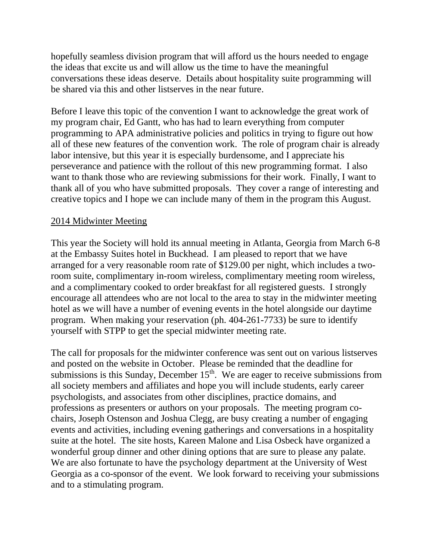hopefully seamless division program that will afford us the hours needed to engage the ideas that excite us and will allow us the time to have the meaningful conversations these ideas deserve. Details about hospitality suite programming will be shared via this and other listserves in the near future.

Before I leave this topic of the convention I want to acknowledge the great work of my program chair, Ed Gantt, who has had to learn everything from computer programming to APA administrative policies and politics in trying to figure out how all of these new features of the convention work. The role of program chair is already labor intensive, but this year it is especially burdensome, and I appreciate his perseverance and patience with the rollout of this new programming format. I also want to thank those who are reviewing submissions for their work. Finally, I want to thank all of you who have submitted proposals. They cover a range of interesting and creative topics and I hope we can include many of them in the program this August.

### 2014 Midwinter Meeting

This year the Society will hold its annual meeting in Atlanta, Georgia from March 6-8 at the Embassy Suites hotel in Buckhead. I am pleased to report that we have arranged for a very reasonable room rate of \$129.00 per night, which includes a tworoom suite, complimentary in-room wireless, complimentary meeting room wireless, and a complimentary cooked to order breakfast for all registered guests. I strongly encourage all attendees who are not local to the area to stay in the midwinter meeting hotel as we will have a number of evening events in the hotel alongside our daytime program. When making your reservation (ph. 404-261-7733) be sure to identify yourself with STPP to get the special midwinter meeting rate.

The call for proposals for the midwinter conference was sent out on various listserves and posted on the website in October. Please be reminded that the deadline for submissions is this Sunday, December  $15<sup>th</sup>$ . We are eager to receive submissions from all society members and affiliates and hope you will include students, early career psychologists, and associates from other disciplines, practice domains, and professions as presenters or authors on your proposals. The meeting program cochairs, Joseph Ostenson and Joshua Clegg, are busy creating a number of engaging events and activities, including evening gatherings and conversations in a hospitality suite at the hotel. The site hosts, Kareen Malone and Lisa Osbeck have organized a wonderful group dinner and other dining options that are sure to please any palate. We are also fortunate to have the psychology department at the University of West Georgia as a co-sponsor of the event. We look forward to receiving your submissions and to a stimulating program.